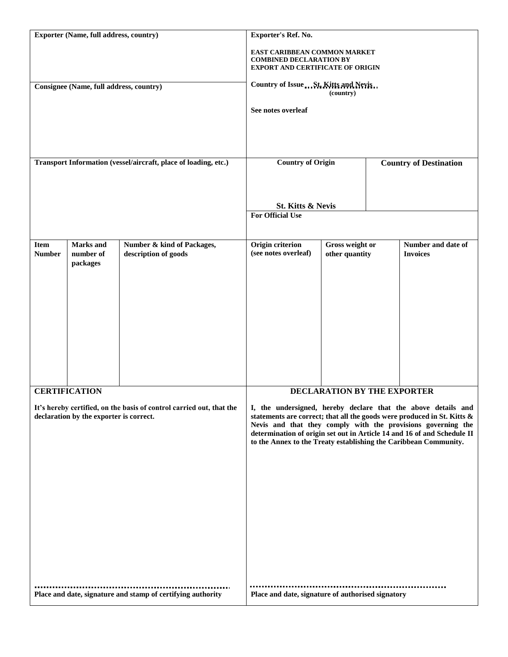| Exporter (Name, full address, country)                          |                                         |                                                                      | Exporter's Ref. No.                                                                                                                                                                                                                                                                    |                                   |  |                                       |
|-----------------------------------------------------------------|-----------------------------------------|----------------------------------------------------------------------|----------------------------------------------------------------------------------------------------------------------------------------------------------------------------------------------------------------------------------------------------------------------------------------|-----------------------------------|--|---------------------------------------|
|                                                                 |                                         |                                                                      | EAST CARIBBEAN COMMON MARKET<br><b>COMBINED DECLARATION BY</b><br><b>EXPORT AND CERTIFICATE OF ORIGIN</b>                                                                                                                                                                              |                                   |  |                                       |
| Consignee (Name, full address, country)                         |                                         |                                                                      | Country of IssueSt. Kitts and Nevis<br>(country)                                                                                                                                                                                                                                       |                                   |  |                                       |
|                                                                 |                                         |                                                                      | See notes overleaf                                                                                                                                                                                                                                                                     |                                   |  |                                       |
| Transport Information (vessel/aircraft, place of loading, etc.) |                                         |                                                                      |                                                                                                                                                                                                                                                                                        |                                   |  |                                       |
|                                                                 |                                         |                                                                      | <b>Country of Origin</b>                                                                                                                                                                                                                                                               |                                   |  | <b>Country of Destination</b>         |
|                                                                 |                                         |                                                                      | St. Kitts & Nevis                                                                                                                                                                                                                                                                      |                                   |  |                                       |
|                                                                 |                                         |                                                                      | <b>For Official Use</b>                                                                                                                                                                                                                                                                |                                   |  |                                       |
| <b>Item</b><br><b>Number</b>                                    | Marks and<br>number of<br>packages      | Number & kind of Packages,<br>description of goods                   | <b>Origin criterion</b><br>(see notes overleaf)                                                                                                                                                                                                                                        | Gross weight or<br>other quantity |  | Number and date of<br><b>Invoices</b> |
|                                                                 |                                         |                                                                      |                                                                                                                                                                                                                                                                                        |                                   |  |                                       |
|                                                                 |                                         |                                                                      |                                                                                                                                                                                                                                                                                        |                                   |  |                                       |
|                                                                 |                                         |                                                                      |                                                                                                                                                                                                                                                                                        |                                   |  |                                       |
|                                                                 | <b>CERTIFICATION</b>                    |                                                                      |                                                                                                                                                                                                                                                                                        |                                   |  |                                       |
|                                                                 |                                         | It's hereby certified, on the basis of control carried out, that the | <b>DECLARATION BY THE EXPORTER</b><br>I, the undersigned, hereby declare that the above details and                                                                                                                                                                                    |                                   |  |                                       |
|                                                                 | declaration by the exporter is correct. |                                                                      | statements are correct; that all the goods were produced in St. Kitts &<br>Nevis and that they comply with the provisions governing the<br>determination of origin set out in Article 14 and 16 of and Schedule II<br>to the Annex to the Treaty establishing the Caribbean Community. |                                   |  |                                       |
|                                                                 |                                         |                                                                      |                                                                                                                                                                                                                                                                                        |                                   |  |                                       |
|                                                                 |                                         |                                                                      |                                                                                                                                                                                                                                                                                        |                                   |  |                                       |
|                                                                 |                                         |                                                                      |                                                                                                                                                                                                                                                                                        |                                   |  |                                       |
|                                                                 |                                         |                                                                      |                                                                                                                                                                                                                                                                                        |                                   |  |                                       |
|                                                                 |                                         | Place and date, signature and stamp of certifying authority          | Place and date, signature of authorised signatory                                                                                                                                                                                                                                      |                                   |  |                                       |